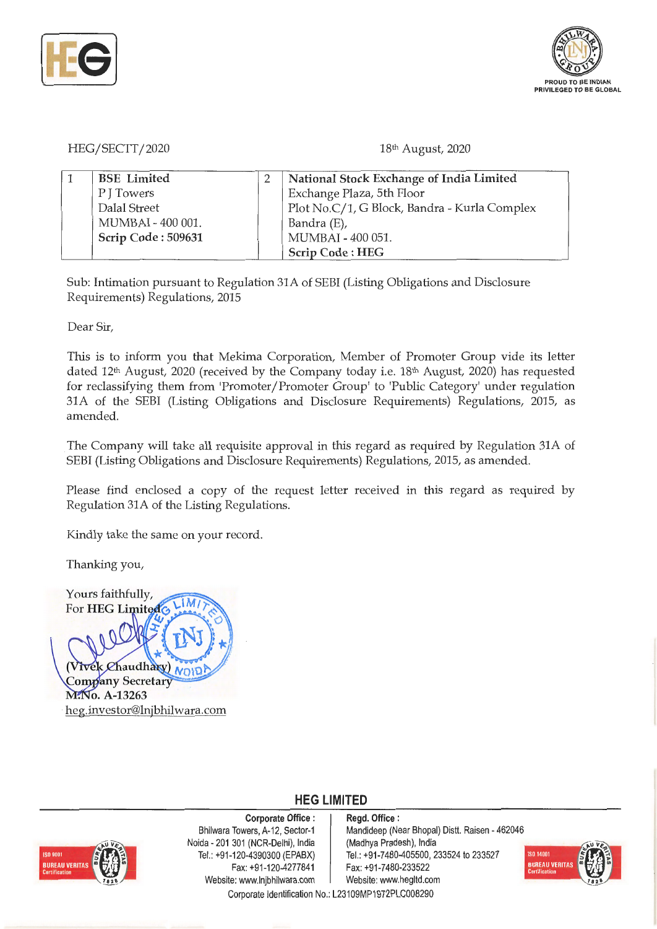



HEG/SECTT/2020

18th August, 2020

| <b>BSE</b> Limited | National Stock Exchange of India Limited     |
|--------------------|----------------------------------------------|
| P J Towers         | Exchange Plaza, 5th Floor                    |
| Dalal Street       | Plot No.C/1, G Block, Bandra - Kurla Complex |
| MUMBAI - 400 001.  | Bandra (E),                                  |
| Scrip Code: 509631 | MUMBAI - 400 051.                            |
|                    | Scrip Code: HEG                              |

Sub: Intimation pursuant to Regulation 31A of SEBI (Listing Obligations and Disclosure Requirements) Regulations, 2015

Dear Sir,

This is to inform you that Mekima Corporation, Member of Promoter Group vide its letter dated  $12<sup>th</sup>$  August, 2020 (received by the Company today i.e.  $18<sup>th</sup>$  August, 2020) has requested for reclassifying them from 'Promoter/Promoter Group' to 'Public Category' under regulation 31A of the SEBI (Listing Obligations and Disclosure Requirements) Regulations, 2015, as amended.

The Company will take all requisite approval in this regard as required by Regulation 31A of SEBI (Listing Obligations and Disclosure Requirements) Regulations, 2015, as amended.

Please find enclosed a copy of the request letter received in this regard as required by Regulation 31A of the Listing Regulations.

Kindly take the same on your record.

Thanking you,

Yours faithfully, ١M. For HEG Limited Chaudhary NOID Company Secretary M. No. A-13263 · heg.investor@lnjbhilwara.com



**Corporate Office** : Bhilwara Towers, A-12, Sector-1 Noida - 201 301 (NCR-Delhi), India Tel.: +91 -120-4390300 (EPABX) Fax: +91 -120-4277841 Website: www.lnjbhilwara.com | Website: www.hegltd.com

**Regd. Office** : Mandideep (Near Bhopal) Distt. Raisen - 462046 (Madhya Pradesh), India Tel.: +91 -7480-405500, 233524 to 233527 Fax: +91 -7480-233522



Corporate Identification No.: L23109MP1972PLC008290

**HEG LIMITED**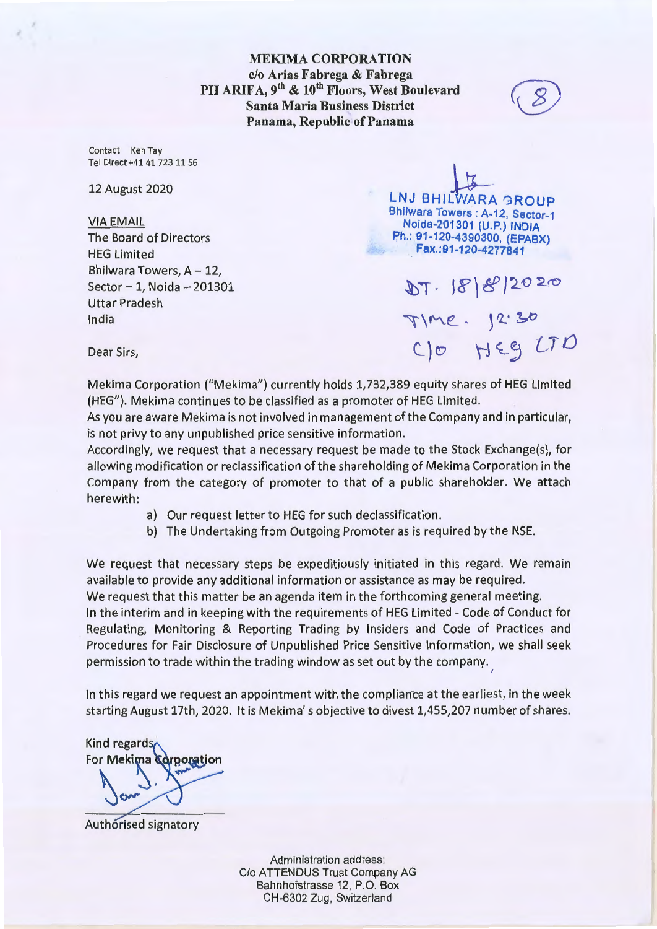Contact Ken Tay Tel Direct+414172311 56

12 August 2020

## VIA EMAIL

The Board of Directors HEG Limited Bhilwara Towers,  $A - 12$ ,  $Sector - 1$ , Noida  $-201301$ Uttar Pradesh India

**LNJ BHILWARA GROUP** Bhilwara Towers : A-12, Sector-1 **Noida-201301 (U.P.) INDIA Ph.: 91-120-4390300, (EPABX) Fax.:91-120-4277841** 

DT. 18/8/2020<br>Time. 12:30<br>C/0 HEG LTD

Dear Sirs,

Mekima Corporation ("Mekima") currently holds 1,732,389 equity shares of HEG Limited (HEG"). Mekima continues to be classified as a promoter of HEG Limited.

As you are aware Mekima is not involved in management of the Company and in particular, is not privy to any unpublished price sensitive information.

Accordingly, we request that a necessary request be made to the Stock Exchange(s), for allowing modification or reclassification of the shareholding of Mekima Corporation in the Company from the category of promoter to that of a public shareholder. We attach herewith:

a) Our request letter to HEG for such declassification.

permission to trade within the trading window as set out by the company.

b) The Undertaking from Outgoing Promoter as is required by the NSE.

We request that necessary steps be expeditiously initiated in this regard. We remain available to provide any additional information or assistance as may be required. We request that this matter be an agenda item in the forthcoming general meeting. In the interim and in keeping with the requirements of HEG Limited - Code of Conduct for Regulating, Monitoring & Reporting Trading by Insiders and Code of Practices and Procedures for Fair Disclosure of Unpublished Price Sensitive Information, we shall seek

In this regard we request an appointment with the compliance at the earliest, in the week starting August 17th, 2020. It is Mekima' s objective to divest 1,455,207 number of shares.

Kind regards<br>For **Mekima Corporation** 

Authorised signatory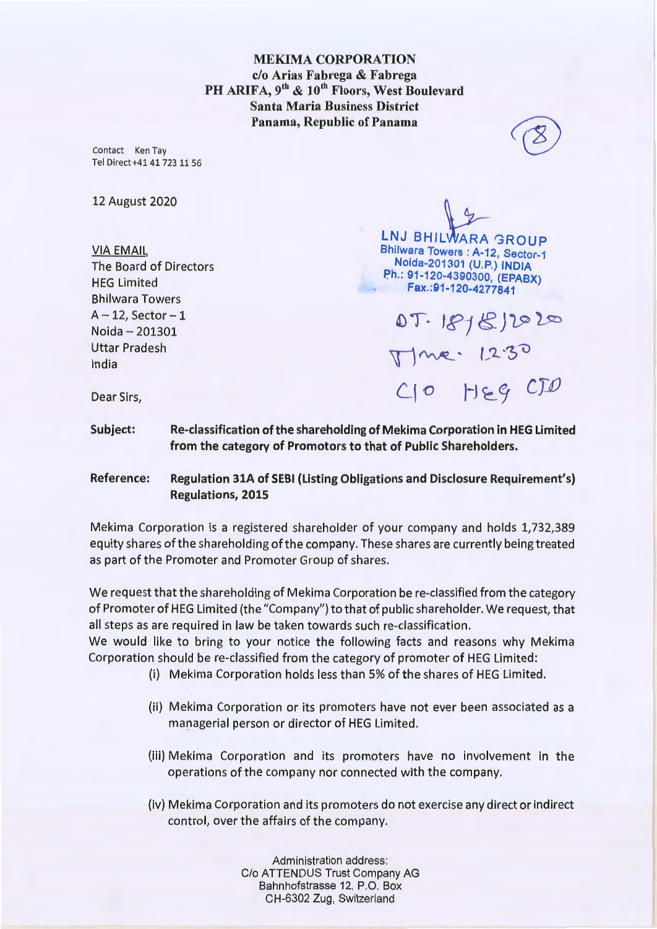Contact Ken Tay Tel Direct+41 4172311 56

12 August 2020

VIA EMAIL The Board of Directors HEG Limited Bhilwara Towers  $A - 12$ , Sector  $-1$ Noida - 201301 Uttar Pradesh India

**LNJ BHILWARA GROUP** Bhilwara Towers : A-12, Sector-1 **Noida-201301 (U.P.) INDIA P,h.: 91-120-4390300, (EPABX) Fax.:91-120-4277841** 

07.1818/2020 Mme: 1230<br>C10 HEG CID

Dear Sirs,

**Subject: Re-classification of the shareholding of Mekima Corporation in HEG Limited from the category of Promotors to that of Public Shareholders.** 

**Reference: Regulation 31A of SEBI (Listing Obligations and Disclosure Requirement's) Regulations, 2015** 

Mekima Corporation is a registered shareholder of your company and holds 1,732,389 equity shares of the shareholding ofthe company. These shares are currently being treated as part of the Promoter and Promoter Group of shares.

We request that the shareholding of Mekima Corporation be re-classified from the category of Promoter of HEG Limited (the "Company") to that of public shareholder. We request, that all steps as are required in law be taken towards such re-classification.

We would like to bring to your notice the following facts and reasons why Mekima Corporation should be re-classified from the category of promoter of HEG Limited:

- (i) Mekima Corporation holds less than 5% of the shares of HEG Limited.
- (ii) Mekima Corporation or its promoters have not ever been associated as a managerial person or director of HEG Limited.
- (iii) Mekima Corporation and its promoters have no involvement in the operations of the company nor connected with the company.
- (iv) Mekima Corporation and its promoters do not exercise any direct or indirect control, over the affairs of the company.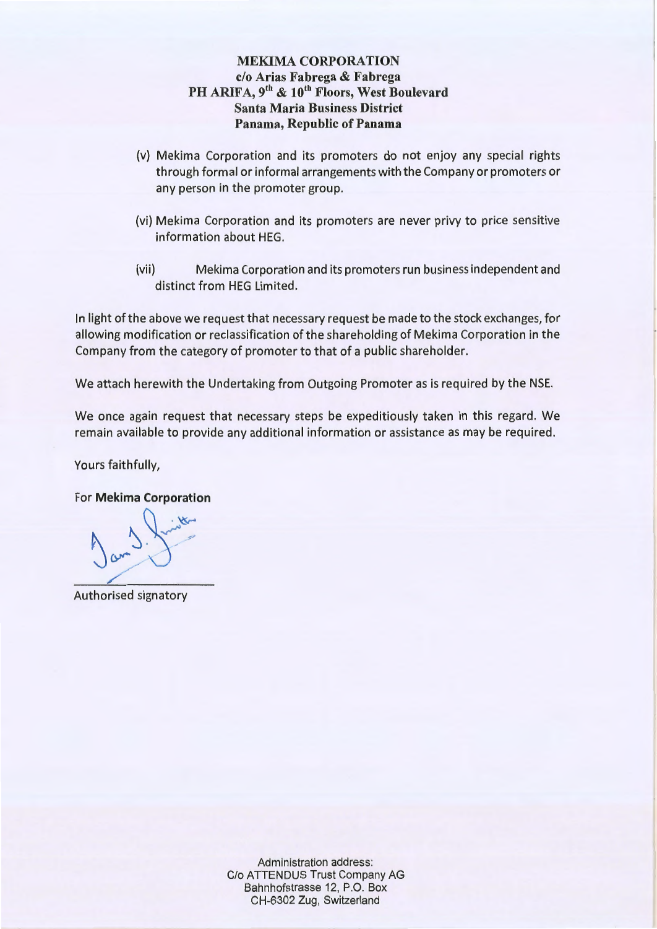- (v) Mekima Corporation and its promoters do not enjoy any special rights through formal or informal arrangements with the Company or promoters or any person in the promoter group.
- (vi) Mekima Corporation and its promoters are never privy to price sensitive information about HEG.
- (vii) Mekima Corporation and its promoters run business independent and distinct from HEG Limited.

In light of the above we request that necessary request be made to the stock exchanges, for allowing modification or reclassification of the shareholding of Mekima Corporation in the Company from the category of promoter to that of a public shareholder.

We attach herewith the Undertaking from Outgoing Promoter as is required by the NSE.

We once again request that necessary steps be expeditiously taken in this regard. We remain available to provide any additional information or assistance as may be required.

Yours faithfully,

For **Mekima Corporation** 

 $a_{m}$ 

Authorised signatory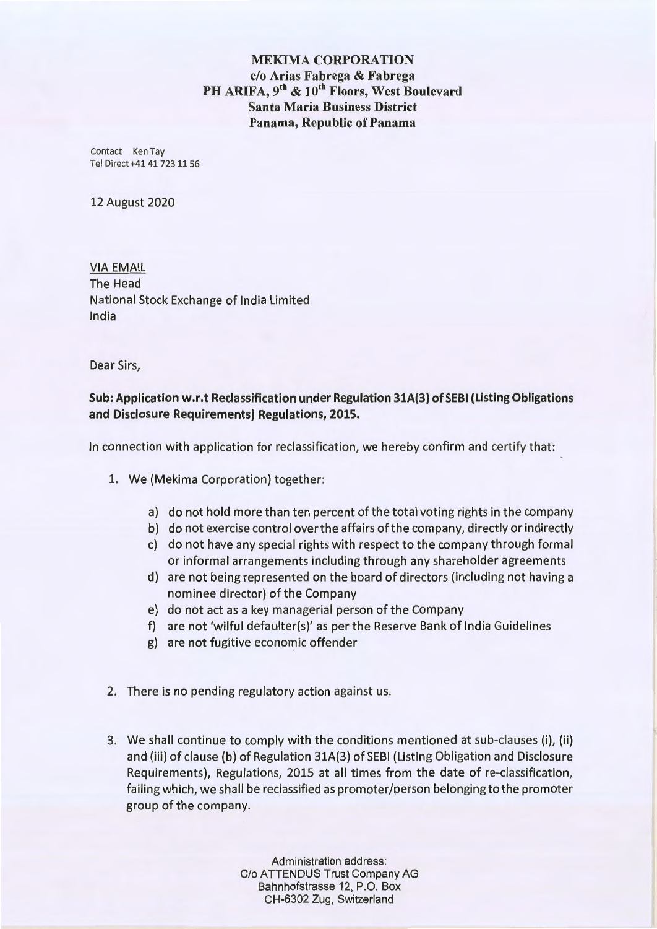Contact Ken Tay Tel Direct+41417231156

12 August 2020

VIA EMAIL The Head National Stock Exchange of India Limited India

Dear Sirs,

**Sub: Application w.r.t Reclassification under Regulation 31A(3) of SEBI (Listing Obligations and Disclosure Requirements) Regulations, 2015.** 

In connection with application for reclassification, we hereby confirm and certify that:

- 1. We (Mekima Corporation) together:
	- a) do not hold more than ten percent of the total voting rights in the company
	- b) do not exercise control over the affairs of the company, directly or indirectly
	- c) do not have any special rights with respect to the company through formal or informal arrangements including through any shareholder agreements
	- d) are not being represented on the board of directors (including not having a nominee director) of the Company
	- e) do not act as a key managerial person of the Company
	- f) are not 'wilful defaulter(s)' as per the Reserve Bank of India Guidelines
	- g) are not fugitive economic offender
- 2. There is no pending regulatory action against us.
- 3. We shall continue to comply with the conditions mentioned at sub-clauses (i), (ii) and (iii) of clause (b) of Regulation 31A(3) of SEBI (Listing Obligation and Disclosure Requirements), Regulations, 2015 at all times from the date of re-classification, failing which, we shall be reclassified as promoter/person belonging to the promoter group of the company.